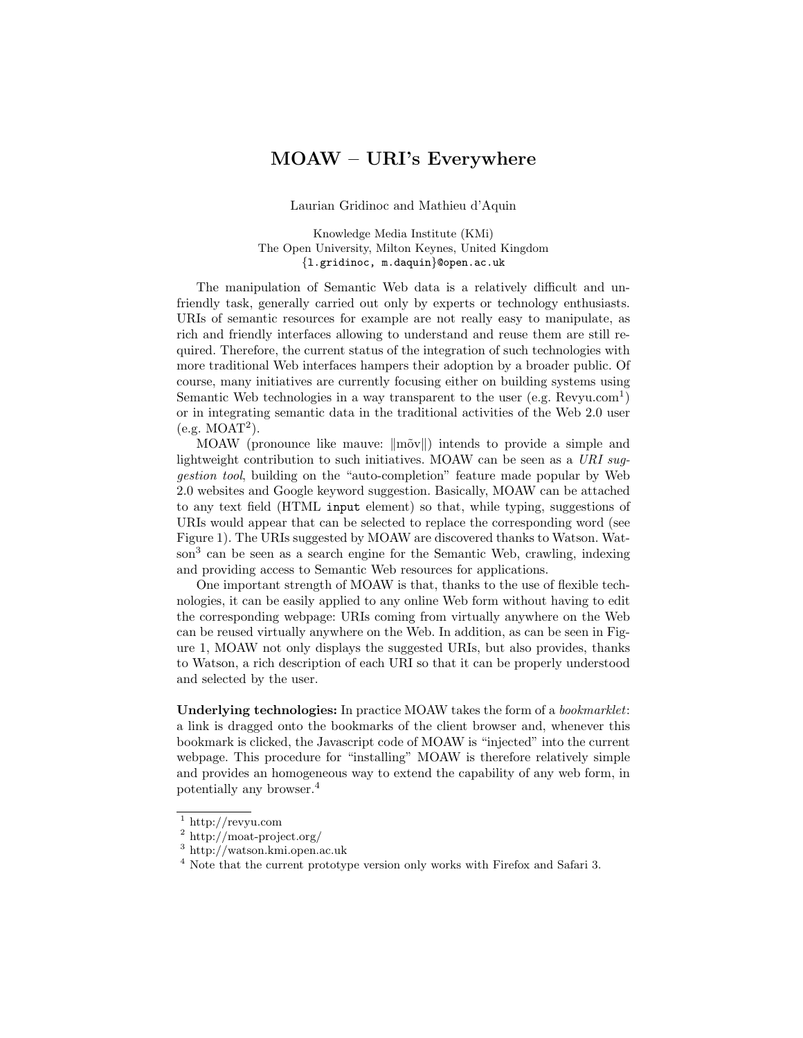## MOAW – URI's Everywhere

Laurian Gridinoc and Mathieu d'Aquin

Knowledge Media Institute (KMi) The Open University, Milton Keynes, United Kingdom {l.gridinoc, m.daquin}@open.ac.uk

The manipulation of Semantic Web data is a relatively difficult and unfriendly task, generally carried out only by experts or technology enthusiasts. URIs of semantic resources for example are not really easy to manipulate, as rich and friendly interfaces allowing to understand and reuse them are still required. Therefore, the current status of the integration of such technologies with more traditional Web interfaces hampers their adoption by a broader public. Of course, many initiatives are currently focusing either on building systems using Semantic Web technologies in a way transparent to the user  $(e.g.$  Revyu.com<sup>1</sup>) or in integrating semantic data in the traditional activities of the Web 2.0 user (e.g. MOAT<sup>2</sup> ).

MOAW (pronounce like mauve:  $\|\tilde{\text{m}\text{ov}}\|$ ) intends to provide a simple and lightweight contribution to such initiatives. MOAW can be seen as a  $URI$  suggestion tool, building on the "auto-completion" feature made popular by Web 2.0 websites and Google keyword suggestion. Basically, MOAW can be attached to any text field (HTML input element) so that, while typing, suggestions of URIs would appear that can be selected to replace the corresponding word (see Figure 1). The URIs suggested by MOAW are discovered thanks to Watson. Watson<sup>3</sup> can be seen as a search engine for the Semantic Web, crawling, indexing and providing access to Semantic Web resources for applications.

One important strength of MOAW is that, thanks to the use of flexible technologies, it can be easily applied to any online Web form without having to edit the corresponding webpage: URIs coming from virtually anywhere on the Web can be reused virtually anywhere on the Web. In addition, as can be seen in Figure 1, MOAW not only displays the suggested URIs, but also provides, thanks to Watson, a rich description of each URI so that it can be properly understood and selected by the user.

Underlying technologies: In practice MOAW takes the form of a bookmarklet: a link is dragged onto the bookmarks of the client browser and, whenever this bookmark is clicked, the Javascript code of MOAW is "injected" into the current webpage. This procedure for "installing" MOAW is therefore relatively simple and provides an homogeneous way to extend the capability of any web form, in potentially any browser.<sup>4</sup>

 $^{\rm 1}$ http://revyu.com

<sup>2</sup> http://moat-project.org/

<sup>3</sup> http://watson.kmi.open.ac.uk

<sup>&</sup>lt;sup>4</sup> Note that the current prototype version only works with Firefox and Safari 3.